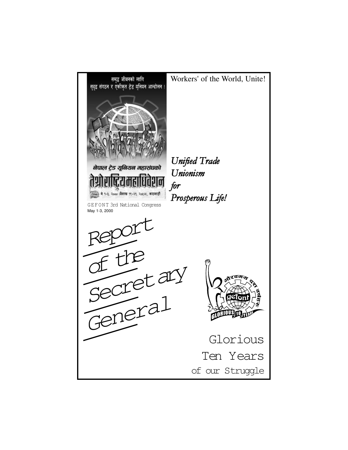Workers' of the World, Unite! समृद्ध जीवनको लागि सुदृढ संगठन र एकीकृत ट्रेड यूनियन आन्दोलन Unified Trade नेपाल ट्रेड यूनियन महासंघको Unionism for मे १-३, २००० (बैशाख १९-२१, २०४७), काठमाडौं Prosperous Life! GEFONT 3rd National Congress May 1-3, 2000Report of the Secretary  $\mathbf{M}$ General Glorious Ten Years of our Struggle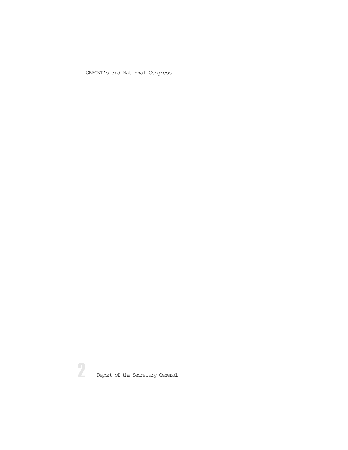GEFONT's 3rd National Congress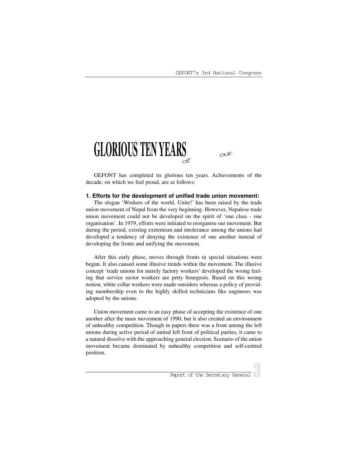

GEFONT has completed its glorious ten years. Achievements of the decade, on which we feel proud, are as follows:

## **1. Efforts for the development of unified trade union movement:**

The slogan 'Workers of the world, Unite!' has been raised by the trade union movement of Nepal from the very beginning. However, Nepalese trade union movement could not be developed on the spirit of 'one class - one organisation'. In 1979, efforts were initiated to reorganise our movement. But during the period, existing extremism and intolerance among the unions had developed a tendency of denying the existence of one another instead of developing the fronts and unifying the movement.

After this early phase, moves through fronts in special situations were begun. It also caused some illusive trends within the movement. The illusive concept 'trade unions for merely factory workers' developed the wrong feeling that service sector workers are petty bourgeois. Based on this wrong notion, white collar workers were made outsiders whereas a policy of providing membership even to the highly skilled technicians like engineers was adopted by the unions.

Union movement came to an easy phase of accepting the existence of one another after the mass movement of 1990, but it also created an environment of unhealthy competition. Though in papers there was a front among the left unions during active period of united left front of political parties, it came to a natural dissolve with the approaching general election. Scenario of the union movement became dominated by unhealthy competition and self-centred position.

Report of the Secretary General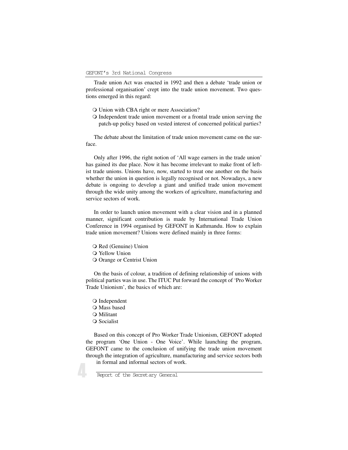Trade union Act was enacted in 1992 and then a debate 'trade union or professional organisation' crept into the trade union movement. Two questions emerged in this regard:

- O Union with CBA right or mere Association?
- m Independent trade union movement or a frontal trade union serving the patch-up policy based on vested interest of concerned political parties?

The debate about the limitation of trade union movement came on the surface.

Only after 1996, the right notion of 'All wage earners in the trade union' has gained its due place. Now it has become irrelevant to make front of leftist trade unions. Unions have, now, started to treat one another on the basis whether the union in question is legally recognised or not. Nowadays, a new debate is ongoing to develop a giant and unified trade union movement through the wide unity among the workers of agriculture, manufacturing and service sectors of work.

In order to launch union movement with a clear vision and in a planned manner, significant contribution is made by International Trade Union Conference in 1994 organised by GEFONT in Kathmandu. How to explain trade union movement? Unions were defined mainly in three forms:

- O Red (Genuine) Union
- **O** Yellow Union
- O Orange or Centrist Union

On the basis of colour, a tradition of defining relationship of unions with political parties was in use. The ITUC Put forward the concept of 'Pro Worker Trade Unionism', the basics of which are:

- O Independent
- **O** Mass based
- $\Omega$  Militant
- $\Omega$  Socialist

Based on this concept of Pro Worker Trade Unionism, GEFONT adopted the program 'One Union - One Voice'. While launching the program, GEFONT came to the conclusion of unifying the trade union movement through the integration of agriculture, manufacturing and service sectors both in formal and informal sectors of work.<br>
Heport of the Secretary General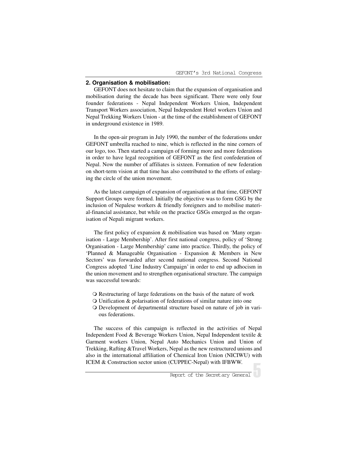#### **2. Organisation & mobilisation:**

GEFONT does not hesitate to claim that the expansion of organisation and mobilisation during the decade has been significant. There were only four founder federations - Nepal Independent Workers Union, Independent Transport Workers association, Nepal Independent Hotel workers Union and Nepal Trekking Workers Union - at the time of the establishment of GEFONT in underground existence in 1989.

In the open-air program in July 1990, the number of the federations under GEFONT umbrella reached to nine, which is reflected in the nine corners of our logo, too. Then started a campaign of forming more and more federations in order to have legal recognition of GEFONT as the first confederation of Nepal. Now the number of affiliates is sixteen. Formation of new federation on short-term vision at that time has also contributed to the efforts of enlarging the circle of the union movement.

As the latest campaign of expansion of organisation at that time, GEFONT Support Groups were formed. Initially the objective was to form GSG by the inclusion of Nepalese workers & friendly foreigners and to mobilise material-financial assistance, but while on the practice GSGs emerged as the organisation of Nepali migrant workers.

The first policy of expansion & mobilisation was based on 'Many organisation - Large Membership'. After first national congress, policy of 'Strong Organisation - Large Membership' came into practice. Thirdly, the policy of 'Planned & Manageable Organisation - Expansion & Members in New Sectors' was forwarded after second national congress. Second National Congress adopted 'Line Industry Campaign' in order to end up adhocism in the union movement and to strengthen organisational structure. The campaign was successful towards:

- O Restructuring of large federations on the basis of the nature of work
- $\Omega$  Unification & polarisation of federations of similar nature into one
- O Development of departmental structure based on nature of job in various federations.

The success of this campaign is reflected in the activities of Nepal Independent Food & Beverage Workers Union, Nepal Independent textile & Garment workers Union, Nepal Auto Mechanics Union and Union of Trekking, Rafting &Travel Workers, Nepal as the new restructured unions and also in the international affiliation of Chemical Iron Union (NICIWU) with ICEM & Construction sector union (CUPPEC-Nepal) with IFBWW.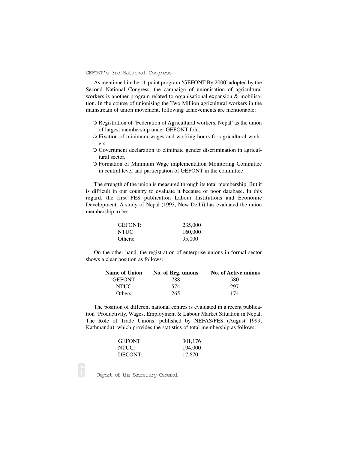As mentioned in the 11-point program 'GEFONT By 2000' adopted by the Second National Congress, the campaign of unionisation of agricultural workers is another program related to organisational expansion & mobilisation. In the course of unionising the Two Million agricultural workers in the mainstream of union movement, following achievements are mentionable:

- m Registration of 'Federation of Agricultural workers, Nepal' as the union of largest membership under GEFONT fold.
- O Fixation of minimum wages and working hours for agricultural workers.
- O Government declaration to eliminate gender discrimination in agricultural sector.
- O Formation of Minimum Wage implementation Monitoring Committee in central level and participation of GEFONT in the committee

The strength of the union is measured through its total membership. But it is difficult in our country to evaluate it because of poor database. In this regard, the first FES publication Labour Institutions and Economic Development: A study of Nepal (1993, New Delhi) has evaluated the union membership to be:

| GEFONT: | 235,000 |  |  |
|---------|---------|--|--|
| NTUC:   | 160,000 |  |  |
| Others: | 95,000  |  |  |

On the other hand, the registration of enterprise unions in formal sector shows a clear position as follows:

| <b>Name of Union</b> | No. of Reg. unions | <b>No. of Active unions</b> |
|----------------------|--------------------|-----------------------------|
| <b>GEFONT</b>        | 788                | 580                         |
| NTUC-                | 574                | 297                         |
| <b>Others</b>        | 265                | 174                         |

The position of different national centres is evaluated in a recent publication 'Productivity, Wages, Employment & Labour Market Situation in Nepal, The Role of Trade Unions' published by NEFAS/FES (August 1999, Kathmandu), which provides the statistics of total membership as follows:

| <b>GEFONT:</b> | 301,176 |
|----------------|---------|
| NTUC:          | 194,000 |
| DECONT:        | 17.670  |

Report of the Secretary General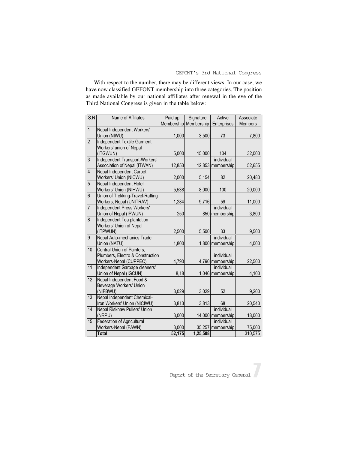With respect to the number, there may be different views. In our case, we have now classified GEFONT membership into three categories. The position as made available by our national affiliates after renewal in the eve of the Third National Congress is given in the table below:

| S.N             | Name of Affiliates                 | Paid up    | Signature  | Active            | Associate |
|-----------------|------------------------------------|------------|------------|-------------------|-----------|
|                 |                                    | Membership | Membership | Enterprises       | Members   |
| $\mathbf{1}$    | Nepal Independent Workers'         |            |            |                   |           |
|                 | Union (NIWU)                       | 1,000      | 3,500      | 73                | 7,800     |
| $\overline{2}$  | <b>Independent Textile Garment</b> |            |            |                   |           |
|                 | Workers' union of Nepal            |            |            |                   |           |
|                 | (ITGWUN)                           | 5,000      | 15,000     | 104               | 32,000    |
| $\overline{3}$  | Independent Transport-Workers'     |            |            | individual        |           |
|                 | Association of Nepal (ITWAN)       | 12,853     |            | 12,853 membership | 52,655    |
| $\overline{4}$  | Nepal Independent Carpet           |            |            |                   |           |
|                 | Workers' Union (NICWU)             | 2,000      | 5,154      | 82                | 20,480    |
| $\overline{5}$  | Nepal Independent Hotel            |            |            |                   |           |
|                 | Workers' Union (NIHWU)             | 5,538      | 8,000      | 100               | 20,000    |
| $\overline{6}$  | Union of Trekking-Travel-Rafting   |            |            |                   |           |
|                 | Workers, Nepal (UNITRAV)           | 1,284      | 9,716      | 59                | 11,000    |
| $\overline{7}$  | <b>Independent Press Workers'</b>  |            |            | individual        |           |
|                 | Union of Nepal (IPWUN)             | 250        |            | 850 membership    | 3,800     |
| $\overline{8}$  | Independent Tea plantation         |            |            |                   |           |
|                 | Workers' Union of Nepal            |            |            |                   |           |
|                 | (ITPWUN)                           | 2,500      | 5,500      | 33                | 9,500     |
| $\overline{9}$  | Nepal Auto-mechanics Trade         |            |            | individual        |           |
|                 | Union (NATU)                       | 1,800      |            | 1,800 membership  | 4,000     |
| $\overline{10}$ | Central Union of Painters,         |            |            |                   |           |
|                 | Plumbers, Electro & Construction   |            |            | individual        |           |
|                 | Workers-Nepal (CUPPEC)             | 4,790      |            | 4,790 membership  | 22,500    |
| $\overline{11}$ | Independent Garbage cleaners'      |            |            | individual        |           |
|                 | Union of Nepal (IGCUN)             | 8,18       |            | 1,046 membership  | 4,100     |
| $\overline{12}$ | Nepal Independent Food &           |            |            |                   |           |
|                 | Beverage Workers' Union            |            |            |                   |           |
|                 | (NIFBWU)                           | 3,029      | 3,029      | 52                | 9,200     |
| $\overline{13}$ | Nepal Independent Chemical-        |            |            |                   |           |
|                 | Iron Workers' Union (NICIWU)       | 3,813      | 3,813      | 68                | 20,540    |
| 14              | Nepal Riskhaw Pullers' Union       |            |            | individual        |           |
|                 | (NRPU)                             | 3,000      |            | 14,000 membership | 18,000    |
| 15              | Federation of Agricultural         |            |            | individual        |           |
|                 | Workers-Nepal (FAWN)               | 3,000      | 35,257     | membership        | 75,000    |
|                 | <b>Total</b>                       | 52,175     | 1,25,508   |                   | 310,575   |

Report of the Secretary General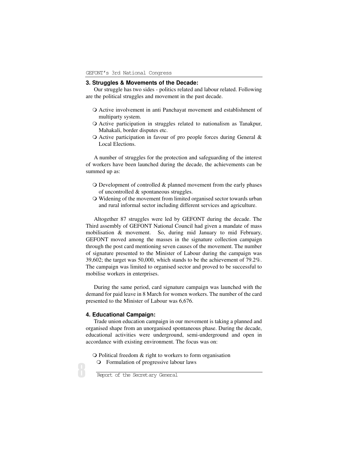## **3. Struggles & Movements of the Decade:**

Our struggle has two sides - politics related and labour related. Following are the political struggles and movement in the past decade.

- O Active involvement in anti Panchayat movement and establishment of multiparty system.
- m Active participation in struggles related to nationalism as Tanakpur, Mahakali, border disputes etc.
- $\Omega$  Active participation in favour of pro people forces during General & Local Elections.

A number of struggles for the protection and safeguarding of the interest of workers have been launched during the decade, the achievements can be summed up as:

- $\Omega$  Development of controlled  $\&$  planned movement from the early phases of uncontrolled & spontaneous struggles.
- O Widening of the movement from limited organised sector towards urban and rural informal sector including different services and agriculture.

Altogether 87 struggles were led by GEFONT during the decade. The Third assembly of GEFONT National Council had given a mandate of mass mobilisation & movement. So, during mid January to mid February, GEFONT moved among the masses in the signature collection campaign through the post card mentioning seven causes of the movement. The number of signature presented to the Minister of Labour during the campaign was 39,602; the target was 50,000, which stands to be the achievement of 79.2%. The campaign was limited to organised sector and proved to be successful to mobilise workers in enterprises.

During the same period, card signature campaign was launched with the demand for paid leave in 8 March for women workers. The number of the card presented to the Minister of Labour was 6,676.

## **4. Educational Campaign:**

Trade union education campaign in our movement is taking a planned and organised shape from an unorganised spontaneous phase. During the decade, educational activities were underground, semi-underground and open in accordance with existing environment. The focus was on:

 $\Omega$  Political freedom & right to workers to form organisation O Formulation of progressive labour laws<br>
Report of the Secretary General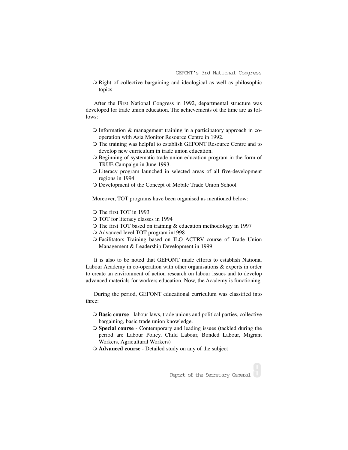m Right of collective bargaining and ideological as well as philosophic topics

After the First National Congress in 1992, departmental structure was developed for trade union education. The achievements of the time are as follows:

- $\Omega$  Information & management training in a participatory approach in cooperation with Asia Monitor Resource Centre in 1992.
- m The training was helpful to establish GEFONT Resource Centre and to develop new curriculum in trade union education.
- O Beginning of systematic trade union education program in the form of TRUE Campaign in June 1993.
- m Literacy program launched in selected areas of all five-development regions in 1994.
- O Development of the Concept of Mobile Trade Union School

Moreover, TOT programs have been organised as mentioned below:

- O The first TOT in 1993
- O TOT for literacy classes in 1994
- m The first TOT based on training & education methodology in 1997
- O Advanced level TOT program in1998
- m Facilitators Training based on ILO ACTRV course of Trade Union Management & Leadership Development in 1999.

It is also to be noted that GEFONT made efforts to establish National Labour Academy in co-operation with other organisations & experts in order to create an environment of action research on labour issues and to develop advanced materials for workers education. Now, the Academy is functioning.

During the period, GEFONT educational curriculum was classified into three:

- m **Basic course**  labour laws, trade unions and political parties, collective bargaining, basic trade union knowledge.
- m **Special course** Contemporary and leading issues (tackled during the period are Labour Policy, Child Labour, Bonded Labour, Migrant Workers, Agricultural Workers)
- **O Advanced course** Detailed study on any of the subject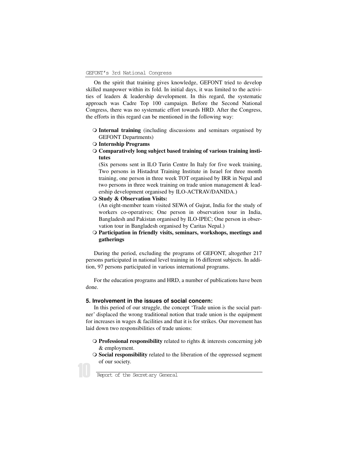On the spirit that training gives knowledge, GEFONT tried to develop skilled manpower within its fold. In initial days, it was limited to the activities of leaders & leadership development. In this regard, the systematic approach was Cadre Top 100 campaign. Before the Second National Congress, there was no systematic effort towards HRD. After the Congress, the efforts in this regard can be mentioned in the following way:

- m **Internal training** (including discussions and seminars organised by GEFONT Departments)
- **Q** Internship Programs
- O Comparatively long subject based training of various training insti**tutes**

(Six persons sent in ILO Turin Centre In Italy for five week training, Two persons in Histadrut Training Institute in Israel for three month training, one person in three week TOT organised by IRR in Nepal and two persons in three week training on trade union management & leadership development organised by ILO-ACTRAV/DANIDA.)

 $\circ$  **Study & Observation Visits:** 

(An eight-member team visited SEWA of Gujrat, India for the study of workers co-operatives; One person in observation tour in India, Bangladesh and Pakistan organised by ILO-IPEC; One person in observation tour in Bangladesh organised by Caritas Nepal.)

m **Participation in friendly visits, seminars, workshops, meetings and gatherings** 

During the period, excluding the programs of GEFONT, altogether 217 persons participated in national level training in 16 different subjects. In addition, 97 persons participated in various international programs.

For the education programs and HRD, a number of publications have been done.

## **5. Involvement in the issues of social concern:**

In this period of our struggle, the concept 'Trade union is the social partner' displaced the wrong traditional notion that trade union is the equipment for increases in wages & facilities and that it is for strikes. Our movement has laid down two responsibilities of trade unions:

- m **Professional responsibility** related to rights & interests concerning job & employment.
- **O Social responsibility** related to the liberation of the oppressed segment of our society.

Report of the Secretary General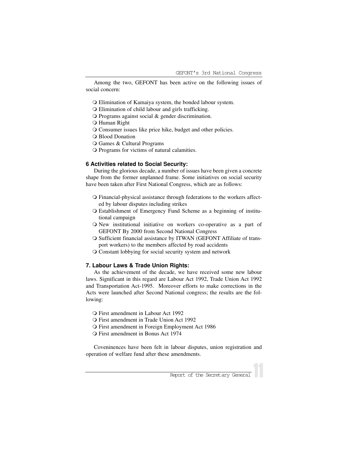Among the two, GEFONT has been active on the following issues of social concern:

- O Elimination of Kamaiya system, the bonded labour system.
- O Elimination of child labour and girls trafficking.
- $\Omega$  Programs against social & gender discrimination.
- **O** Human Right
- **O** Consumer issues like price hike, budget and other policies.
- **Q** Blood Donation
- O Games & Cultural Programs
- O Programs for victims of natural calamities.

## **6 Activities related to Social Security:**

During the glorious decade, a number of issues have been given a concrete shape from the former unplanned frame. Some initiatives on social security have been taken after First National Congress, which are as follows:

- O Financial-physical assistance through federations to the workers affected by labour disputes including strikes
- O Establishment of Emergency Fund Scheme as a beginning of institutional campaign
- m New institutional initiative on workers co-operative as a part of GEFONT By 2000 from Second National Congress
- O Sufficient financial assistance by ITWAN (GEFONT Affiliate of transport workers) to the members affected by road accidents
- **Q** Constant lobbying for social security system and network

# **7. Labour Laws & Trade Union Rights:**

As the achievement of the decade, we have received some new labour laws. Significant in this regard are Labour Act 1992, Trade Union Act 1992 and Transportation Act-1995. Moreover efforts to make corrections in the Acts were launched after Second National congress; the results are the following:

O First amendment in Labour Act 1992

- **O** First amendment in Trade Union Act 1992
- **O** First amendment in Foreign Employment Act 1986
- O First amendment in Bonus Act 1974

Coveninences have been felt in labour disputes, union registration and operation of welfare fund after these amendments.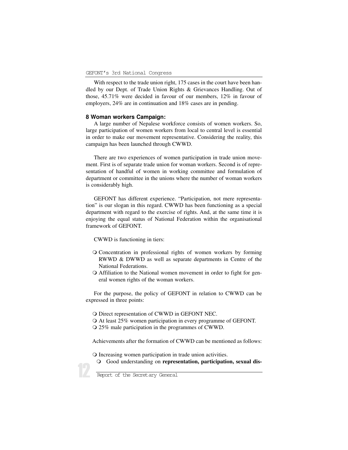With respect to the trade union right, 175 cases in the court have been handled by our Dept. of Trade Union Rights & Grievances Handling. Out of those, 45.71% were decided in favour of our members, 12% in favour of employers, 24% are in continuation and 18% cases are in pending.

### **8 Woman workers Campaign:**

A large number of Nepalese workforce consists of women workers. So, large participation of women workers from local to central level is essential in order to make our movement representative. Considering the reality, this campaign has been launched through CWWD.

There are two experiences of women participation in trade union movement. First is of separate trade union for woman workers. Second is of representation of handful of women in working committee and formulation of department or committee in the unions where the number of woman workers is considerably high.

GEFONT has different experience. "Participation, not mere representation" is our slogan in this regard. CWWD has been functioning as a special department with regard to the exercise of rights. And, at the same time it is enjoying the equal status of National Federation within the organisational framework of GEFONT.

CWWD is functioning in tiers:

- O Concentration in professional rights of women workers by forming RWWD & DWWD as well as separate departments in Centre of the National Federations.
- $\Omega$  Affiliation to the National women movement in order to fight for general women rights of the woman workers.

For the purpose, the policy of GEFONT in relation to CWWD can be expressed in three points:

O Direct representation of CWWD in GEFONT NEC.

- O At least 25% women participation in every programme of GEFONT.
- O 25% male participation in the programmes of CWWD.

Achievements after the formation of CWWD can be mentioned as follows:

**O** Increasing women participation in trade union activities.

O Good understanding on **representation, participation, sexual dis-**<br>Report of the Secretary General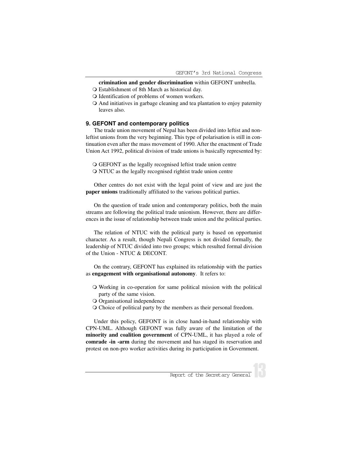- **crimination and gender discrimination** within GEFONT umbrella.
- O Establishment of 8th March as historical day.
- O Identification of problems of women workers.
- $\Omega$  And initiatives in garbage cleaning and tea plantation to enjoy paternity leaves also.

### **9. GEFONT and contemporary politics**

The trade union movement of Nepal has been divided into leftist and nonleftist unions from the very beginning. This type of polarisation is still in continuation even after the mass movement of 1990. After the enactment of Trade Union Act 1992, political division of trade unions is basically represented by:

 $\Omega$  GEFONT as the legally recognised leftist trade union centre  $\Omega$  NTUC as the legally recognised rightist trade union centre

Other centres do not exist with the legal point of view and are just the **paper unions** traditionally affiliated to the various political parties.

On the question of trade union and contemporary politics, both the main streams are following the political trade unionism. However, there are differences in the issue of relationship between trade union and the political parties.

The relation of NTUC with the political party is based on opportunist character. As a result, though Nepali Congress is not divided formally, the leadership of NTUC divided into two groups; which resulted formal division of the Union - NTUC & DECONT.

On the contrary, GEFONT has explained its relationship with the parties as **engagement with organisational autonomy**. It refers to:

- m Working in co-operation for same political mission with the political party of the same vision.
- **O** Organisational independence
- m Choice of political party by the members as their personal freedom.

Under this policy, GEFONT is in close hand-in-hand relationship with CPN-UML. Although GEFONT was fully aware of the limitation of the **minority and coalition government** of CPN-UML, it has played a role of **comrade -in -arm** during the movement and has staged its reservation and protest on non-pro worker activities during its participation in Government.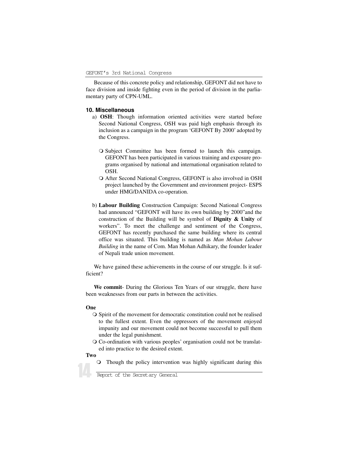Because of this concrete policy and relationship, GEFONT did not have to face division and inside fighting even in the period of division in the parliamentary party of CPN-UML.

## **10. Miscellaneous**

- a) **OSH**: Though information oriented activities were started before Second National Congress, OSH was paid high emphasis through its inclusion as a campaign in the program 'GEFONT By 2000' adopted by the Congress.
	- O Subject Committee has been formed to launch this campaign. GEFONT has been participated in various training and exposure programs organised by national and international organisation related to OSH.
	- O After Second National Congress, GEFONT is also involved in OSH project launched by the Government and environment project- ESPS under HMG/DANIDA co-operation.
- b) **Labour Building** Construction Campaign: Second National Congress had announced "GEFONT will have its own building by 2000"and the construction of the Building will be symbol of **Dignity & Unity** of workers". To meet the challenge and sentiment of the Congress, GEFONT has recently purchased the same building where its central office was situated. This building is named as *Man Mohan Labour Building* in the name of Com. Man Mohan Adhikary, the founder leader of Nepali trade union movement.

We have gained these achievements in the course of our struggle. Is it sufficient?

**We commit**- During the Glorious Ten Years of our struggle, there have been weaknesses from our parts in between the activities.

#### **One**

- O Spirit of the movement for democratic constitution could not be realised to the fullest extent. Even the oppressors of the movement enjoyed impunity and our movement could not become successful to pull them under the legal punishment.
- m Co-ordination with various peoples' organisation could not be translated into practice to the desired extent.

## **Two**

O Though the policy intervention was highly significant during this<br>
Report of the Secretary General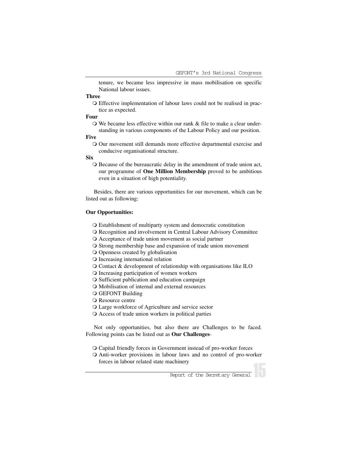tenure, we became less impressive in mass mobilisation on specific National labour issues.

# **Three**

m Effective implementation of labour laws could not be realised in practice as expected.

#### **Four**

 $\Omega$  We became less effective within our rank  $\&$  file to make a clear understanding in various components of the Labour Policy and our position.

# **Five**

O Our movement still demands more effective departmental exercise and conducive organisational structure.

**Six**

O Because of the bureaucratic delay in the amendment of trade union act, our programme of **One Million Membership** proved to be ambitious even in a situation of high potentiality.

Besides, there are various opportunities for our movement, which can be listed out as following:

# **Our Opportunities:**

- O Establishment of multiparty system and democratic constitution
- **O** Recognition and involvement in Central Labour Advisory Committee
- O Acceptance of trade union movement as social partner
- O Strong membership base and expansion of trade union movement
- O Openness created by globalisation
- $\Omega$  Increasing international relation
- $\Omega$  Contact & development of relationship with organisations like ILO
- O Increasing participation of women workers
- $\Omega$  Sufficient publication and education campaign
- O Mobilisation of internal and external resources
- **Q GEFONT Building**
- O Resource centre
- O Large workforce of Agriculture and service sector
- O Access of trade union workers in political parties

Not only opportunities, but also there are Challenges to be faced. Following points can be listed out as **Our Challenges**-

- O Capital friendly forces in Government instead of pro-worker forces
- O Anti-worker provisions in labour laws and no control of pro-worker forces in labour related state machinery

Report of the Secretary General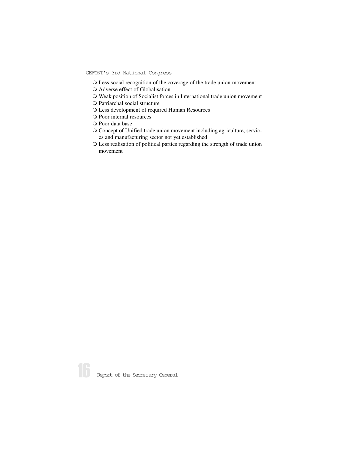- O Less social recognition of the coverage of the trade union movement
- O Adverse effect of Globalisation
- O Weak position of Socialist forces in International trade union movement
- O Patriarchal social structure
- O Less development of required Human Resources
- O Poor internal resources
- O Poor data base
- O Concept of Unified trade union movement including agriculture, services and manufacturing sector not yet established
- m Less realisation of political parties regarding the strength of trade union movement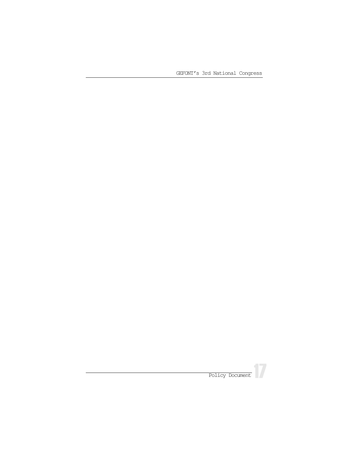GEFONT's 3rd National Congress

Policy Document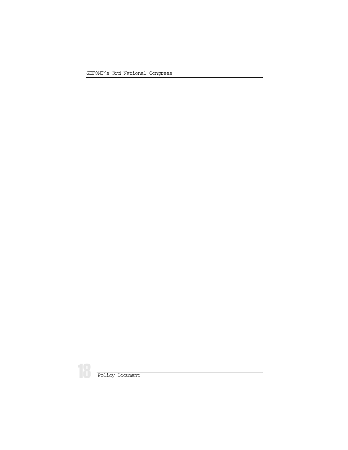GEFONT's 3rd National Congress

18 Policy Document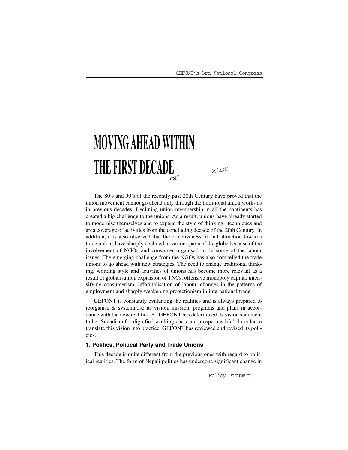# **MOVING AHEAD WITHIN THE FIRST DECADE**  $\int_{\mathcal{C}}$  21st

The 80's and 90's of the recently past 20th Century have proved that the union movement cannot go ahead only through the traditional union works as in previous decades. Declining union membership in all the continents has created a big challenge to the unions. As a result, unions have already started to modernise themselves and to expand the style of thinking, techniques and area coverage of activities from the concluding decade of the 20th Century. In addition, it is also observed that the effectiveness of and attraction towards trade unions have sharply declined in various parts of the globe because of the involvement of NGOs and consumer organisations in some of the labour issues. The emerging challenge from the NGOs has also compelled the trade unions to go ahead with new strategies. The need to change traditional thinking, working style and activities of unions has become more relevant as a result of globalisation, expansion of TNCs, offensive monopoly capital, intensifying consumerism, informalisation of labour, changes in the patterns of employment and sharply weakening protectionism in international trade.

GEFONT is constantly evaluating the realities and is always prepared to reorganise & systematise its vision, mission, programs and plans in accordance with the new realities. So GEFONT has determined its vision statement to be 'Socialism for dignified working class and prosperous life'. In order to translate this vision into practice, GEFONT has reviewed and revised its policies.

# **1. Politics, Political Party and Trade Unions**

This decade is quite different from the previous ones with regard to political realities. The form of Nepali politics has undergone significant change in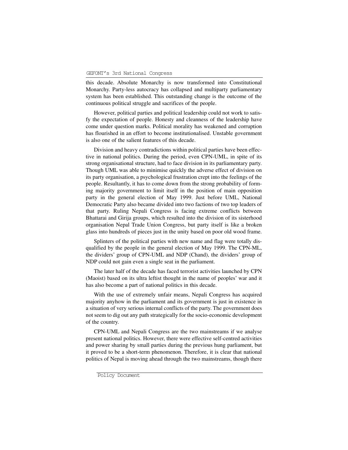this decade. Absolute Monarchy is now transformed into Constitutional Monarchy. Party-less autocracy has collapsed and multiparty parliamentary system has been established. This outstanding change is the outcome of the continuous political struggle and sacrifices of the people.

However, political parties and political leadership could not work to satisfy the expectation of people. Honesty and cleanness of the leadership have come under question marks. Political morality has weakened and corruption has flourished in an effort to become institutionalised. Unstable government is also one of the salient features of this decade.

Division and heavy contradictions within political parties have been effective in national politics. During the period, even CPN-UML, in spite of its strong organisational structure, had to face division in its parliamentary party. Though UML was able to minimise quickly the adverse effect of division on its party organisation, a psychological frustration crept into the feelings of the people. Resultantly, it has to come down from the strong probability of forming majority government to limit itself in the position of main opposition party in the general election of May 1999. Just before UML, National Democratic Party also became divided into two factions of two top leaders of that party. Ruling Nepali Congress is facing extreme conflicts between Bhattarai and Girija groups, which resulted into the division of its sisterhood organisation Nepal Trade Union Congress, but party itself is like a broken glass into hundreds of pieces just in the unity based on poor old wood frame.

Splinters of the political parties with new name and flag were totally disqualified by the people in the general election of May 1999. The CPN-ML, the dividers' group of CPN-UML and NDP (Chand), the dividers' group of NDP could not gain even a single seat in the parliament.

The later half of the decade has faced terrorist activities launched by CPN (Maoist) based on its ultra leftist thought in the name of peoples' war and it has also become a part of national politics in this decade.

With the use of extremely unfair means, Nepali Congress has acquired majority anyhow in the parliament and its government is just in existence in a situation of very serious internal conflicts of the party. The government does not seem to dig out any path strategically for the socio-economic development of the country.

CPN-UML and Nepali Congress are the two mainstreams if we analyse present national politics. However, there were effective self-centred activities and power sharing by small parties during the previous hung parliament, but it proved to be a short-term phenomenon. Therefore, it is clear that national politics of Nepal is moving ahead through the two mainstreams, though there

Policy Document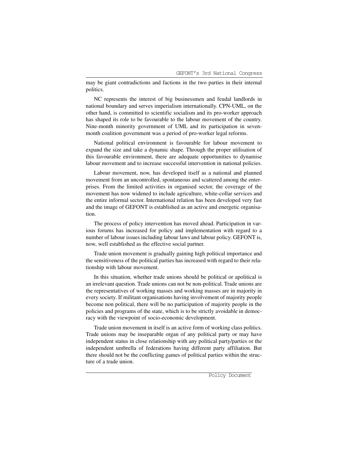may be giant contradictions and factions in the two parties in their internal politics.

NC represents the interest of big businessmen and feudal landlords in national boundary and serves imperialism internationally. CPN-UML, on the other hand, is committed to scientific socialism and its pro-worker approach has shaped its role to be favourable to the labour movement of the country. Nine-month minority government of UML and its participation in sevenmonth coalition government was a period of pro-worker legal reforms.

National political environment is favourable for labour movement to expand the size and take a dynamic shape. Through the proper utilisation of this favourable environment, there are adequate opportunities to dynamise labour movement and to increase successful intervention in national policies.

Labour movement, now, has developed itself as a national and planned movement from an uncontrolled, spontaneous and scattered among the enterprises. From the limited activities in organised sector, the coverage of the movement has now widened to include agriculture, white-collar services and the entire informal sector. International relation has been developed very fast and the image of GEFONT is established as an active and energetic organisation.

The process of policy intervention has moved ahead. Participation in various forums has increased for policy and implementation with regard to a number of labour issues including labour laws and labour policy. GEFONT is, now, well established as the effective social partner.

Trade union movement is gradually gaining high political importance and the sensitiveness of the political parties has increased with regard to their relationship with labour movement.

In this situation, whether trade unions should be political or apolitical is an irrelevant question. Trade unions can not be non-political. Trade unions are the representatives of working masses and working masses are in majority in every society. If militant organisations having involvement of majority people become non political, there will be no participation of majority people in the policies and programs of the state, which is to be strictly avoidable in democracy with the viewpoint of socio-economic development.

Trade union movement in itself is an active form of working class politics. Trade unions may be inseparable organ of any political party or may have independent status in close relationship with any political party/parties or the independent umbrella of federations having different party affiliation. But there should not be the conflicting games of political parties within the structure of a trade union.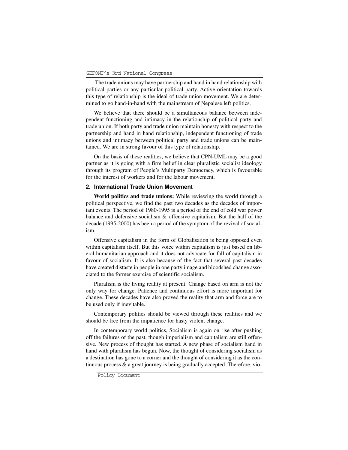The trade unions may have partnership and hand in hand relationship with political parties or any particular political party. Active orientation towards this type of relationship is the ideal of trade union movement. We are determined to go hand-in-hand with the mainstream of Nepalese left politics.

We believe that there should be a simultaneous balance between independent functioning and intimacy in the relationship of political party and trade union. If both party and trade union maintain honesty with respect to the partnership and hand in hand relationship, independent functioning of trade unions and intimacy between political party and trade unions can be maintained. We are in strong favour of this type of relationship.

On the basis of these realities, we believe that CPN-UML may be a good partner as it is going with a firm belief in clear pluralistic socialist ideology through its program of People's Multiparty Democracy, which is favourable for the interest of workers and for the labour movement.

# **2. International Trade Union Movement**

**World politics and trade unions:** While reviewing the world through a political perspective, we find the past two decades as the decades of important events. The period of 1980-1995 is a period of the end of cold war power balance and defensive socialism & offensive capitalism. But the half of the decade (1995-2000) has been a period of the symptom of the revival of socialism.

Offensive capitalism in the form of Globalisation is being opposed even within capitalism itself. But this voice within capitalism is just based on liberal humanitarian approach and it does not advocate for fall of capitalism in favour of socialism. It is also because of the fact that several past decades have created distaste in people in one party image and bloodshed change associated to the former exercise of scientific socialism.

Pluralism is the living reality at present. Change based on arm is not the only way for change. Patience and continuous effort is more important for change. These decades have also proved the reality that arm and force are to be used only if inevitable.

Contemporary politics should be viewed through these realities and we should be free from the impatience for hasty violent change.

In contemporary world politics, Socialism is again on rise after pushing off the failures of the past, though imperialism and capitalism are still offensive. New process of thought has started. A new phase of socialism hand in hand with pluralism has begun. Now, the thought of considering socialism as a destination has gone to a corner and the thought of considering it as the continuous process & a great journey is being gradually accepted. Therefore, vio-

Policy Document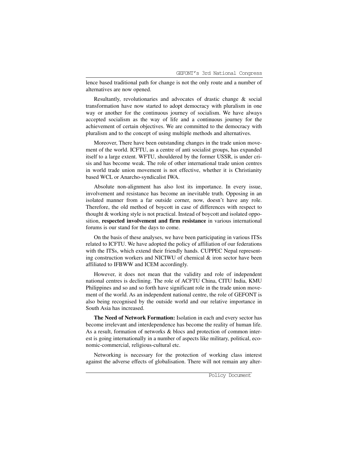lence based traditional path for change is not the only route and a number of alternatives are now opened.

Resultantly, revolutionaries and advocates of drastic change & social transformation have now started to adopt democracy with pluralism in one way or another for the continuous journey of socialism. We have always accepted socialism as the way of life and a continuous journey for the achievement of certain objectives. We are committed to the democracy with pluralism and to the concept of using multiple methods and alternatives.

Moreover, There have been outstanding changes in the trade union movement of the world. ICFTU, as a centre of anti socialist groups, has expanded itself to a large extent. WFTU, shouldered by the former USSR, is under crisis and has become weak. The role of other international trade union centres in world trade union movement is not effective, whether it is Christianity based WCL or Anarcho-syndicalist IWA.

Absolute non-alignment has also lost its importance. In every issue, involvement and resistance has become an inevitable truth. Opposing in an isolated manner from a far outside corner, now, doesn't have any role. Therefore, the old method of boycott in case of differences with respect to thought & working style is not practical. Instead of boycott and isolated opposition, **respected involvement and firm resistance** in various international forums is our stand for the days to come.

On the basis of these analyses, we have been participating in various ITSs related to ICFTU. We have adopted the policy of affiliation of our federations with the ITSs, which extend their friendly hands. CUPPEC Nepal representing construction workers and NICIWU of chemical & iron sector have been affiliated to IFBWW and ICEM accordingly.

However, it does not mean that the validity and role of independent national centres is declining. The role of ACFTU China, CITU India, KMU Philippines and so and so forth have significant role in the trade union movement of the world. As an independent national centre, the role of GEFONT is also being recognised by the outside world and our relative importance in South Asia has increased.

**The Need of Network Formation:** Isolation in each and every sector has become irrelevant and interdependence has become the reality of human life. As a result, formation of networks & blocs and protection of common interest is going internationally in a number of aspects like military, political, economic-commercial, religious-cultural etc.

Networking is necessary for the protection of working class interest against the adverse effects of globalisation. There will not remain any alter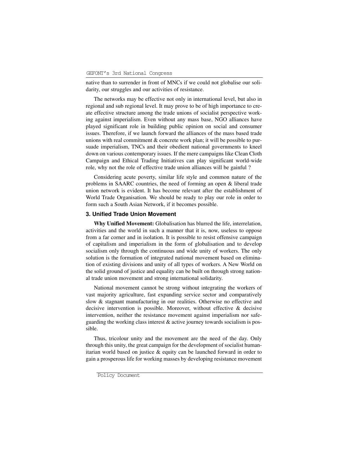native than to surrender in front of MNCs if we could not globalise our solidarity, our struggles and our activities of resistance.

The networks may be effective not only in international level, but also in regional and sub regional level. It may prove to be of high importance to create effective structure among the trade unions of socialist perspective working against imperialism. Even without any mass base, NGO alliances have played significant role in building public opinion on social and consumer issues. Therefore, if we launch forward the alliances of the mass based trade unions with real commitment  $&$  concrete work plan; it will be possible to pursuade imperialism, TNCs and their obedient national governments to kneel down on various contemporary issues. If the mere campaigns like Clean Cloth Campaign and Ethical Trading Initiatives can play significant world-wide role, why not the role of effective trade union alliances will be gainful ?

Considering acute poverty, similar life style and common nature of the problems in SAARC countries, the need of forming an open & liberal trade union network is evident. It has become relevant after the establishment of World Trade Organisation. We should be ready to play our role in order to form such a South Asian Network, if it becomes possible.

## **3. Unified Trade Union Movement**

**Why Unified Movement:** Globalisation has blurred the life, interrelation, activities and the world in such a manner that it is, now, useless to oppose from a far corner and in isolation. It is possible to resist offensive campaign of capitalism and imperialism in the form of globalisation and to develop socialism only through the continuous and wide unity of workers. The only solution is the formation of integrated national movement based on elimination of existing divisions and unity of all types of workers. A New World on the solid ground of justice and equality can be built on through strong national trade union movement and strong international solidarity.

National movement cannot be strong without integrating the workers of vast majority agriculture, fast expanding service sector and comparatively slow & stagnant manufacturing in our realities. Otherwise no effective and decisive intervention is possible. Moreover, without effective & decisive intervention, neither the resistance movement against imperialism nor safeguarding the working class interest & active journey towards socialism is possible.

Thus, tricolour unity and the movement are the need of the day. Only through this unity, the great campaign for the development of socialist humanitarian world based on justice & equity can be launched forward in order to gain a prosperous life for working masses by developing resistance movement

Policy Document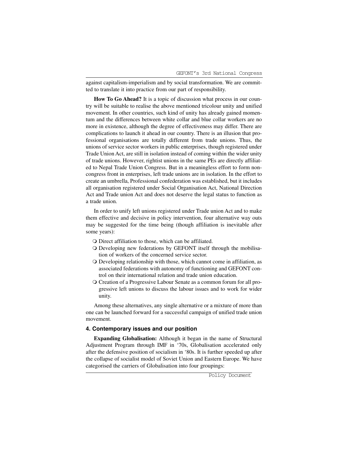against capitalism-imperialism and by social transformation. We are committed to translate it into practice from our part of responsibility.

**How To Go Ahead?** It is a topic of discussion what process in our country will be suitable to realise the above mentioned tricolour unity and unified movement. In other countries, such kind of unity has already gained momentum and the differences between white collar and blue collar workers are no more in existence, although the degree of effectiveness may differ. There are complications to launch it ahead in our country. There is an illusion that professional organisations are totally different from trade unions. Thus, the unions of service sector workers in public enterprises, though registered under Trade Union Act, are still in isolation instead of coming within the wider unity of trade unions. However, rightist unions in the same PEs are directly affiliated to Nepal Trade Union Congress. But in a meaningless effort to form noncongress front in enterprises, left trade unions are in isolation. In the effort to create an umbrella, Professional confederation was established, but it includes all organisation registered under Social Organisation Act, National Direction Act and Trade union Act and does not deserve the legal status to function as a trade union.

In order to unify left unions registered under Trade union Act and to make them effective and decisive in policy intervention, four alternative way outs may be suggested for the time being (though affiliation is inevitable after some years):

- O Direct affiliation to those, which can be affiliated.
- m Developing new federations by GEFONT itself through the mobilisation of workers of the concerned service sector.
- m Developing relationship with those, which cannot come in affiliation, as associated federations with autonomy of functioning and GEFONT control on their international relation and trade union education.
- m Creation of a Progressive Labour Senate as a common forum for all progressive left unions to discuss the labour issues and to work for wider unity.

Among these alternatives, any single alternative or a mixture of more than one can be launched forward for a successful campaign of unified trade union movement.

# **4. Contemporary issues and our position**

**Expanding Globalisation:** Although it began in the name of Structural Adjustment Program through IMF in '70s, Globalisation accelerated only after the defensive position of socialism in '80s. It is further speeded up after the collapse of socialist model of Soviet Union and Eastern Europe. We have categorised the carriers of Globalisation into four groupings: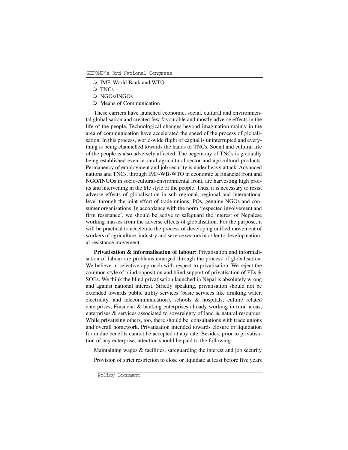- m IMF, World Bank and WTO
- O TNCs
- Q NGOs/INGOs
- **Q** Means of Communication

These carriers have launched economic, social, cultural and environmental globalisation and created few favourable and mostly adverse effects in the life of the people. Technological changes beyond imagination mainly in the area of communication have accelerated the speed of the process of globalisation. In this process, world-wide flight of capital is uninterrupted and everything is being channelled towards the hands of TNCs. Social and cultural life of the people is also adversely affected. The hegemony of TNCs is gradually being established even in rural agricultural sector and agricultural products. Permanency of employment and job security is under heavy attack. Advanced nations and TNCs, through IMF-WB-WTO in economic & financial front and NGO/INGOs in socio-cultural-environmental front, are harvesting high profits and intervening in the life style of the people. Thus, it is necessary to resist adverse effects of globalisation in sub regional, regional and international level through the joint effort of trade unions, POs, genuine NGOs and consumer organisations. In accordance with the norm 'respected involvement and firm resistance', we should be active to safeguard the interest of Nepalese working masses from the adverse effects of globalisation. For the purpose, it will be practical to accelerate the process of developing unified movement of workers of agriculture, industry and service sectors in order to develop national resistance movement.

**Privatisation & informalisation of labour:** Privatisation and informalisation of labour are problems emerged through the process of globalisation. We believe in selective approach with respect to privatisation. We reject the common style of blind opposition and blind support of privatisation of PEs & SOEs. We think the blind privatisation launched in Nepal is absolutely wrong and against national interest. Strictly speaking, privatisation should not be extended towards public utility services (basic services like drinking water, electricity, and telecommunication), schools & hospitals; culture related enterprises, Financial & banking enterprises already working in rural areas, enterprises & services associated to sovereignty of land & natural resources. While privatising others, too, there should be consultations with trade unions and overall homework. Privatisation intended towards closure or liquidation for undue benefits cannot be accepted at any rate. Besides, prior to privatisation of any enterprise, attention should be paid to the following:

Maintaining wages & facilities, safeguarding the interest and job security

Provision of strict restriction to close or liquidate at least before five years

Policy Document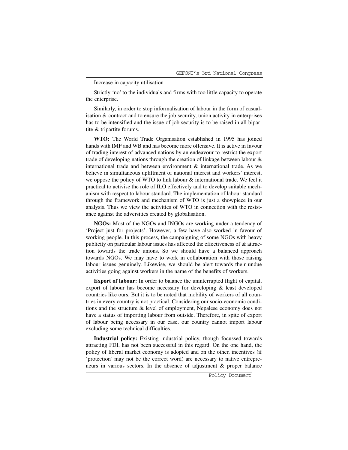Increase in capacity utilisation

Strictly 'no' to the individuals and firms with too little capacity to operate the enterprise.

Similarly, in order to stop informalisation of labour in the form of casualisation & contract and to ensure the job security, union activity in enterprises has to be intensified and the issue of job security is to be raised in all bipartite & tripartite forums.

**WTO:** The World Trade Organisation established in 1995 has joined hands with IMF and WB and has become more offensive. It is active in favour of trading interest of advanced nations by an endeavour to restrict the export trade of developing nations through the creation of linkage between labour & international trade and between environment & international trade. As we believe in simultaneous upliftment of national interest and workers' interest, we oppose the policy of WTO to link labour & international trade. We feel it practical to activise the role of ILO effectively and to develop suitable mechanism with respect to labour standard. The implementation of labour standard through the framework and mechanism of WTO is just a showpiece in our analysis. Thus we view the activities of WTO in connection with the resistance against the adversities created by globalisation.

**NGOs:** Most of the NGOs and INGOs are working under a tendency of 'Project just for projects'. However, a few have also worked in favour of working people. In this process, the campaigning of some NGOs with heavy publicity on particular labour issues has affected the effectiveness of & attraction towards the trade unions. So we should have a balanced approach towards NGOs. We may have to work in collaboration with those raising labour issues genuinely. Likewise, we should be alert towards their undue activities going against workers in the name of the benefits of workers.

**Export of labour:** In order to balance the uninterrupted flight of capital, export of labour has become necessary for developing & least developed countries like ours. But it is to be noted that mobility of workers of all countries in every country is not practical. Considering our socio-economic conditions and the structure & level of employment, Nepalese economy does not have a status of importing labour from outside. Therefore, in spite of export of labour being necessary in our case, our country cannot import labour excluding some technical difficulties.

**Industrial policy:** Existing industrial policy, though focussed towards attracting FDI, has not been successful in this regard. On the one hand, the policy of liberal market economy is adopted and on the other, incentives (if 'protection' may not be the correct word) are necessary to native entrepreneurs in various sectors. In the absence of adjustment & proper balance

Policy Document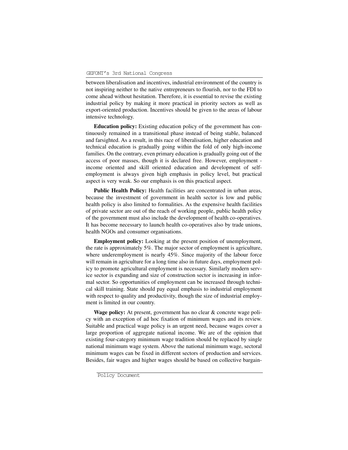between liberalisation and incentives, industrial environment of the country is not inspiring neither to the native entrepreneurs to flourish, nor to the FDI to come ahead without hesitation. Therefore, it is essential to revise the existing industrial policy by making it more practical in priority sectors as well as export-oriented production. Incentives should be given to the areas of labour intensive technology.

**Education policy:** Existing education policy of the government has continuously remained in a transitional phase instead of being stable, balanced and farsighted. As a result, in this race of liberalisation, higher education and technical education is gradually going within the fold of only high-income families. On the contrary, even primary education is gradually going out of the access of poor masses, though it is declared free. However, employment income oriented and skill oriented education and development of selfemployment is always given high emphasis in policy level, but practical aspect is very weak. So our emphasis is on this practical aspect.

Public Health Policy: Health facilities are concentrated in urban areas, because the investment of government in health sector is low and public health policy is also limited to formalities. As the expensive health facilities of private sector are out of the reach of working people, public health policy of the government must also include the development of health co-operatives. It has become necessary to launch health co-operatives also by trade unions, health NGOs and consumer organisations.

**Employment policy:** Looking at the present position of unemployment, the rate is approximately 5%. The major sector of employment is agriculture, where underemployment is nearly 45%. Since majority of the labour force will remain in agriculture for a long time also in future days, employment policy to promote agricultural employment is necessary. Similarly modern service sector is expanding and size of construction sector is increasing in informal sector. So opportunities of employment can be increased through technical skill training. State should pay equal emphasis to industrial employment with respect to quality and productivity, though the size of industrial employment is limited in our country.

**Wage policy:** At present, government has no clear & concrete wage policy with an exception of ad hoc fixation of minimum wages and its review. Suitable and practical wage policy is an urgent need, because wages cover a large proportion of aggregate national income. We are of the opinion that existing four-category minimum wage tradition should be replaced by single national minimum wage system. Above the national minimum wage, sectoral minimum wages can be fixed in different sectors of production and services. Besides, fair wages and higher wages should be based on collective bargain-

Policy Document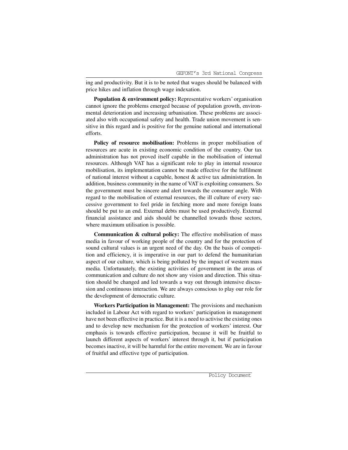ing and productivity. But it is to be noted that wages should be balanced with price hikes and inflation through wage indexation.

**Population & environment policy:** Representative workers' organisation cannot ignore the problems emerged because of population growth, environmental deterioration and increasing urbanisation. These problems are associated also with occupational safety and health. Trade union movement is sensitive in this regard and is positive for the genuine national and international efforts.

Policy of resource mobilisation: Problems in proper mobilisation of resources are acute in existing economic condition of the country. Our tax administration has not proved itself capable in the mobilisation of internal resources. Although VAT has a significant role to play in internal resource mobilisation, its implementation cannot be made effective for the fulfilment of national interest without a capable, honest & active tax administration. In addition, business community in the name of VAT is exploiting consumers. So the government must be sincere and alert towards the consumer angle. With regard to the mobilisation of external resources, the ill culture of every successive government to feel pride in fetching more and more foreign loans should be put to an end. External debts must be used productively. External financial assistance and aids should be channelled towards those sectors, where maximum utilisation is possible.

**Communication & cultural policy:** The effective mobilisation of mass media in favour of working people of the country and for the protection of sound cultural values is an urgent need of the day. On the basis of competition and efficiency, it is imperative in our part to defend the humanitarian aspect of our culture, which is being polluted by the impact of western mass media. Unfortunately, the existing activities of government in the areas of communication and culture do not show any vision and direction. This situation should be changed and led towards a way out through intensive discussion and continuous interaction. We are always conscious to play our role for the development of democratic culture.

**Workers Participation in Management:** The provisions and mechanism included in Labour Act with regard to workers' participation in management have not been effective in practice. But it is a need to activise the existing ones and to develop new mechanism for the protection of workers' interest. Our emphasis is towards effective participation, because it will be fruitful to launch different aspects of workers' interest through it, but if participation becomes inactive, it will be harmful for the entire movement. We are in favour of fruitful and effective type of participation.

Policy Document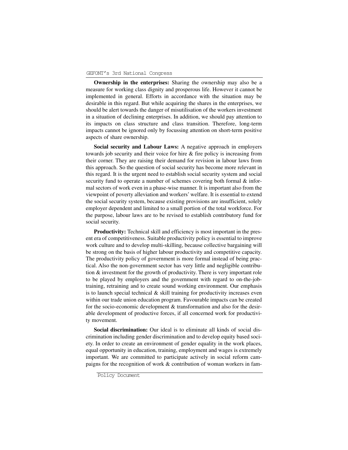#### GEFONT's 3rd National Congress

**Ownership in the enterprises:** Sharing the ownership may also be a measure for working class dignity and prosperous life. However it cannot be implemented in general. Efforts in accordance with the situation may be desirable in this regard. But while acquiring the shares in the enterprises, we should be alert towards the danger of misutilisation of the workers investment in a situation of declining enterprises. In addition, we should pay attention to its impacts on class structure and class transition. Therefore, long-term impacts cannot be ignored only by focussing attention on short-term positive aspects of share ownership.

**Social security and Labour Laws:** A negative approach in employers towards job security and their voice for hire & fire policy is increasing from their corner. They are raising their demand for revision in labour laws from this approach. So the question of social security has become more relevant in this regard. It is the urgent need to establish social security system and social security fund to operate a number of schemes covering both formal  $\&$  informal sectors of work even in a phase-wise manner. It is important also from the viewpoint of poverty alleviation and workers' welfare. It is essential to extend the social security system, because existing provisions are insufficient, solely employer dependent and limited to a small portion of the total workforce. For the purpose, labour laws are to be revised to establish contributory fund for social security.

**Productivity:** Technical skill and efficiency is most important in the present era of competitiveness. Suitable productivity policy is essential to improve work culture and to develop multi-skilling, because collective bargaining will be strong on the basis of higher labour productivity and competitive capacity. The productivity policy of government is more formal instead of being practical. Also the non-government sector has very little and negligible contribution & investment for the growth of productivity. There is very important role to be played by employers and the government with regard to on-the-jobtraining, retraining and to create sound working environment. Our emphasis is to launch special technical  $\&$  skill training for productivity increases even within our trade union education program. Favourable impacts can be created for the socio-economic development & transformation and also for the desirable development of productive forces, if all concerned work for productivity movement.

**Social discrimination:** Our ideal is to eliminate all kinds of social discrimination including gender discrimination and to develop equity based society. In order to create an environment of gender equality in the work places, equal opportunity in education, training, employment and wages is extremely important. We are committed to participate actively in social reform campaigns for the recognition of work & contribution of woman workers in fam-

Policy Document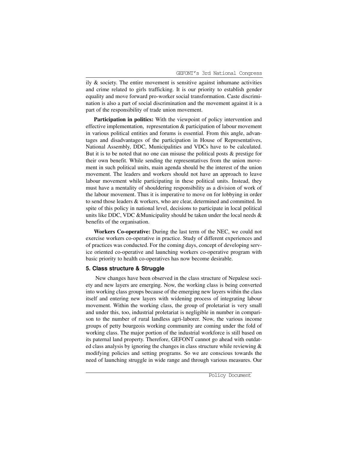ily & society. The entire movement is sensitive against inhumane activities and crime related to girls trafficking. It is our priority to establish gender equality and move forward pro-worker social transformation. Caste discrimination is also a part of social discrimination and the movement against it is a part of the responsibility of trade union movement.

**Participation in politics:** With the viewpoint of policy intervention and effective implementation, representation & participation of labour movement in various political entities and forums is essential. From this angle, advantages and disadvantages of the participation in House of Representatives, National Assembly, DDC, Municipalities and VDCs have to be calculated. But it is to be noted that no one can misuse the political posts  $\&$  prestige for their own benefit. While sending the representatives from the union movement in such political units, main agenda should be the interest of the union movement. The leaders and workers should not have an approach to leave labour movement while participating in these political units. Instead, they must have a mentality of shouldering responsibility as a division of work of the labour movement. Thus it is imperative to move on for lobbying in order to send those leaders & workers, who are clear, determined and committed. In spite of this policy in national level, decisions to participate in local political units like DDC, VDC &Municipality should be taken under the local needs  $\&$ benefits of the organisation.

**Workers Co-operative:** During the last term of the NEC, we could not exercise workers co-operative in practice. Study of different experiences and of practices was conducted. For the coming days, concept of developing service oriented co-operative and launching workers co-operative program with basic priority to health co-operatives has now become desirable.

# **5. Class structure & Struggle**

New changes have been observed in the class structure of Nepalese society and new layers are emerging. Now, the working class is being converted into working class groups because of the emerging new layers within the class itself and entering new layers with widening process of integrating labour movement. Within the working class, the group of proletariat is very small and under this, too, industrial proletariat is negligible in number in comparison to the number of rural landless agri-laborer. Now, the various income groups of petty bourgeois working community are coming under the fold of working class. The major portion of the industrial workforce is still based on its paternal land property. Therefore, GEFONT cannot go ahead with outdated class analysis by ignoring the changes in class structure while reviewing & modifying policies and setting programs. So we are conscious towards the need of launching struggle in wide range and through various measures. Our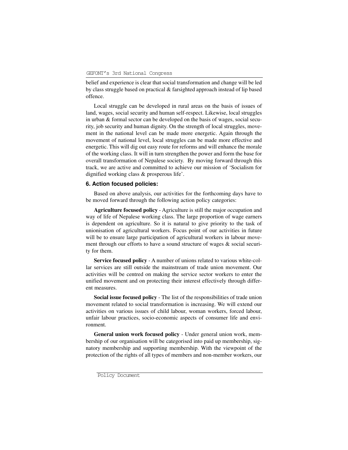belief and experience is clear that social transformation and change will be led by class struggle based on practical & farsighted approach instead of lip based offence.

Local struggle can be developed in rural areas on the basis of issues of land, wages, social security and human self-respect. Likewise, local struggles in urban & formal sector can be developed on the basis of wages, social security, job security and human dignity. On the strength of local struggles, movement in the national level can be made more energetic. Again through the movement of national level, local struggles can be made more effective and energetic. This will dig out easy route for reforms and will enhance the morale of the working class. It will in turn strengthen the power and form the base for overall transformation of Nepalese society. By moving forward through this track, we are active and committed to achieve our mission of 'Socialism for dignified working class & prosperous life'.

## **6. Action focused policies:**

Based on above analysis, our activities for the forthcoming days have to be moved forward through the following action policy categories:

**Agriculture focused policy** - Agriculture is still the major occupation and way of life of Nepalese working class. The large proportion of wage earners is dependent on agriculture. So it is natural to give priority to the task of unionisation of agricultural workers. Focus point of our activities in future will be to ensure large participation of agricultural workers in labour movement through our efforts to have a sound structure of wages & social security for them.

**Service focused policy** - A number of unions related to various white-collar services are still outside the mainstream of trade union movement. Our activities will be centred on making the service sector workers to enter the unified movement and on protecting their interest effectively through different measures.

**Social issue focused policy** - The list of the responsibilities of trade union movement related to social transformation is increasing. We will extend our activities on various issues of child labour, woman workers, forced labour, unfair labour practices, socio-economic aspects of consumer life and environment.

**General union work focused policy** - Under general union work, membership of our organisation will be categorised into paid up membership, signatory membership and supporting membership. With the viewpoint of the protection of the rights of all types of members and non-member workers, our

Policy Document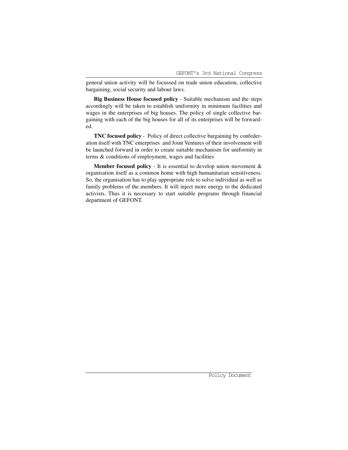general union activity will be focussed on trade union education, collective bargaining, social security and labour laws.

**Big Business House focused policy** - Suitable mechanism and the steps accordingly will be taken to establish uniformity in minimum facilities and wages in the enterprises of big houses. The policy of single collective bargaining with each of the big houses for all of its enterprises will be forwarded.

**TNC focused policy** - Policy of direct collective bargaining by confederation itself with TNC enterprises and Joint Ventures of their involvement will be launched forward in order to create suitable mechanism for uniformity in terms & conditions of employment, wages and facilities

**Member focused policy** - It is essential to develop union movement & organisation itself as a common home with high humanitarian sensitiveness. So, the organisation has to play appropriate role to solve individual as well as family problems of the members. It will inject more energy to the dedicated activists. Thus it is necessary to start suitable programs through financial department of GEFONT.